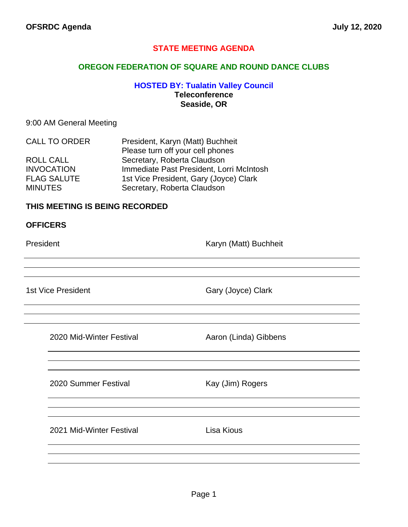### **STATE MEETING AGENDA**

### **OREGON FEDERATION OF SQUARE AND ROUND DANCE CLUBS**

### **HOSTED BY: Tualatin Valley Council Teleconference Seaside, OR**

### 9:00 AM General Meeting

| <b>CALL TO ORDER</b> | President, Karyn (Matt) Buchheit         |  |
|----------------------|------------------------------------------|--|
|                      | Please turn off your cell phones         |  |
| <b>ROLL CALL</b>     | Secretary, Roberta Claudson              |  |
| <b>INVOCATION</b>    | Immediate Past President, Lorri McIntosh |  |
| <b>FLAG SALUTE</b>   | 1st Vice President, Gary (Joyce) Clark   |  |
| <b>MINUTES</b>       | Secretary, Roberta Claudson              |  |

### **THIS MEETING IS BEING RECORDED**

#### **OFFICERS**

President **Karyn (Matt)** Buchheit

1st Vice President Gary (Joyce) Clark

2020 Mid-Winter Festival **Aaron (Linda)** Gibbens

2020 Summer Festival Kay (Jim) Rogers

2021 Mid-Winter Festival **Lisa Kious**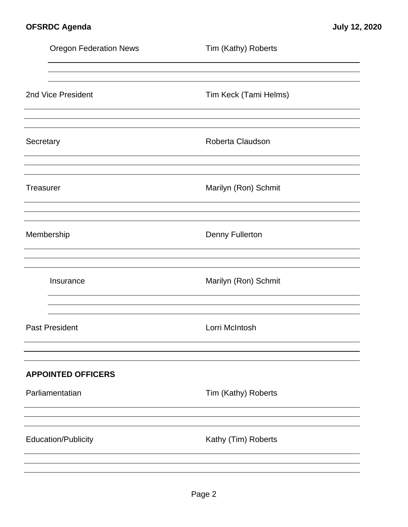|                  | <b>Oregon Federation News</b> | Tim (Kathy) Roberts    |  |
|------------------|-------------------------------|------------------------|--|
|                  |                               |                        |  |
|                  | 2nd Vice President            | Tim Keck (Tami Helms)  |  |
| Secretary        |                               | Roberta Claudson       |  |
| <b>Treasurer</b> |                               | Marilyn (Ron) Schmit   |  |
| Membership       |                               | <b>Denny Fullerton</b> |  |
|                  | Insurance                     | Marilyn (Ron) Schmit   |  |
|                  | <b>Past President</b>         | Lorri McIntosh         |  |
|                  | <b>APPOINTED OFFICERS</b>     |                        |  |
|                  | Parliamentatian               | Tim (Kathy) Roberts    |  |
|                  |                               |                        |  |
|                  | <b>Education/Publicity</b>    | Kathy (Tim) Roberts    |  |
|                  |                               |                        |  |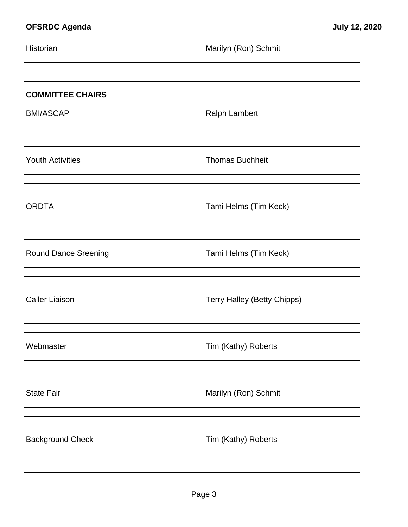| Historian                   | Marilyn (Ron) Schmit        |
|-----------------------------|-----------------------------|
| <b>COMMITTEE CHAIRS</b>     |                             |
| <b>BMI/ASCAP</b>            | <b>Ralph Lambert</b>        |
| <b>Youth Activities</b>     | <b>Thomas Buchheit</b>      |
| <b>ORDTA</b>                | Tami Helms (Tim Keck)       |
| <b>Round Dance Sreening</b> | Tami Helms (Tim Keck)       |
| <b>Caller Liaison</b>       | Terry Halley (Betty Chipps) |
| Webmaster                   | Tim (Kathy) Roberts         |
| <b>State Fair</b>           | Marilyn (Ron) Schmit        |
| <b>Background Check</b>     | Tim (Kathy) Roberts         |
|                             |                             |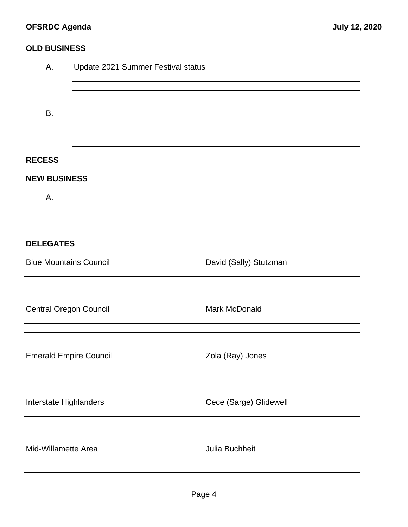# **OFSRDC Agenda July 12, 2020**

## **OLD BUSINESS**

| А.                            | Update 2021 Summer Festival status |                        |  |  |  |
|-------------------------------|------------------------------------|------------------------|--|--|--|
|                               |                                    |                        |  |  |  |
| <b>B.</b>                     |                                    |                        |  |  |  |
|                               |                                    |                        |  |  |  |
| <b>RECESS</b>                 |                                    |                        |  |  |  |
| <b>NEW BUSINESS</b>           |                                    |                        |  |  |  |
| А.                            |                                    |                        |  |  |  |
|                               |                                    |                        |  |  |  |
| <b>DELEGATES</b>              |                                    |                        |  |  |  |
| <b>Blue Mountains Council</b> |                                    | David (Sally) Stutzman |  |  |  |
|                               |                                    |                        |  |  |  |
| <b>Central Oregon Council</b> |                                    | Mark McDonald          |  |  |  |
|                               |                                    |                        |  |  |  |
| <b>Emerald Empire Council</b> |                                    | Zola (Ray) Jones       |  |  |  |
|                               |                                    |                        |  |  |  |
| Interstate Highlanders        |                                    | Cece (Sarge) Glidewell |  |  |  |
|                               |                                    |                        |  |  |  |
| Mid-Willamette Area           |                                    | Julia Buchheit         |  |  |  |
|                               |                                    |                        |  |  |  |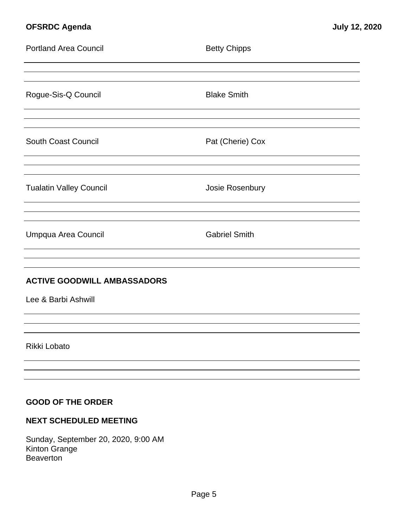## **OFSRDC Agenda July 12, 2020**

| <b>Portland Area Council</b>       | <b>Betty Chipps</b>  |  |  |  |  |
|------------------------------------|----------------------|--|--|--|--|
|                                    |                      |  |  |  |  |
| Rogue-Sis-Q Council                | <b>Blake Smith</b>   |  |  |  |  |
|                                    |                      |  |  |  |  |
| South Coast Council                | Pat (Cherie) Cox     |  |  |  |  |
|                                    |                      |  |  |  |  |
| <b>Tualatin Valley Council</b>     | Josie Rosenbury      |  |  |  |  |
|                                    |                      |  |  |  |  |
| Umpqua Area Council                | <b>Gabriel Smith</b> |  |  |  |  |
|                                    |                      |  |  |  |  |
| <b>ACTIVE GOODWILL AMBASSADORS</b> |                      |  |  |  |  |
| Lee & Barbi Ashwill                |                      |  |  |  |  |
|                                    |                      |  |  |  |  |
| Rikki Lobato                       |                      |  |  |  |  |
|                                    |                      |  |  |  |  |
|                                    |                      |  |  |  |  |
| <b>GOOD OF THE ORDER</b>           |                      |  |  |  |  |

# **NEXT SCHEDULED MEETING**

Sunday, September 20, 2020, 9:00 AM Kinton Grange **Beaverton**